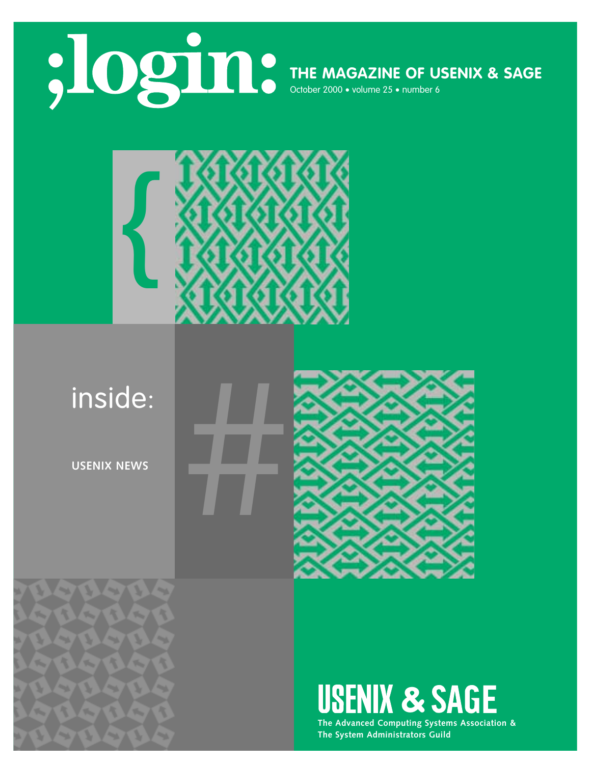



# #inside:

**USENIX NEWS**

R

**Sept.** 

A.

 $\overline{\phantom{a}}$ 

w.

 $\rightarrow$   $\lambda$ ¥



# USENIX & SAGE

**The Advanced Computing Systems Association & The System Administrators Guild**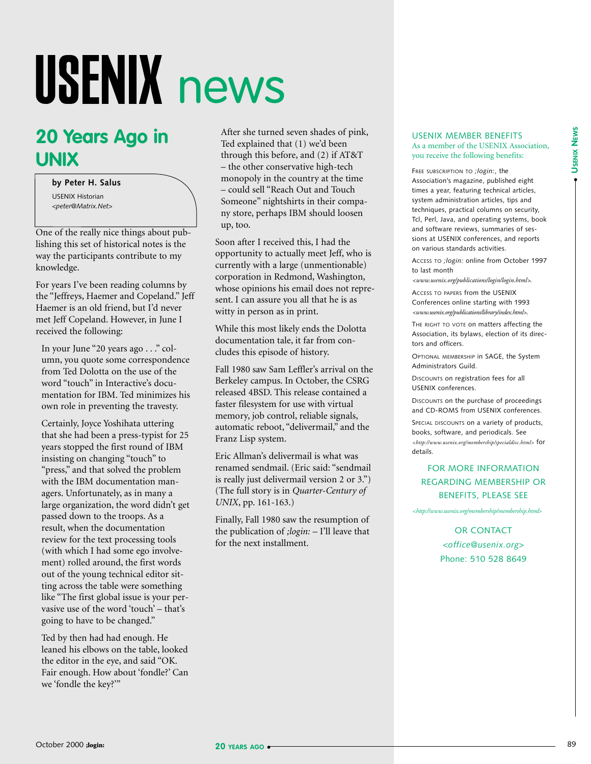# USENIX news

# **20 Years Ago in UNIX**

**by Peter H. Salus** USENIX Historian *<peter@Matrix.Net>*

One of the really nice things about publishing this set of historical notes is the way the participants contribute to my knowledge.

For years I've been reading columns by the "Jeffreys, Haemer and Copeland." Jeff Haemer is an old friend, but I'd never met Jeff Copeland. However, in June I received the following:

In your June "20 years ago . . ." column, you quote some correspondence from Ted Dolotta on the use of the word "touch" in Interactive's documentation for IBM. Ted minimizes his own role in preventing the travesty.

Certainly, Joyce Yoshihata uttering that she had been a press-typist for 25 years stopped the first round of IBM insisting on changing "touch" to "press," and that solved the problem with the IBM documentation managers. Unfortunately, as in many a large organization, the word didn't get passed down to the troops. As a result, when the documentation review for the text processing tools (with which I had some ego involvement) rolled around, the first words out of the young technical editor sitting across the table were something like "The first global issue is your pervasive use of the word 'touch' – that's going to have to be changed."

Ted by then had had enough. He leaned his elbows on the table, looked the editor in the eye, and said "OK. Fair enough. How about 'fondle?' Can we 'fondle the key?'"

After she turned seven shades of pink, Ted explained that (1) we'd been through this before, and (2) if AT&T – the other conservative high-tech monopoly in the country at the time – could sell "Reach Out and Touch Someone" nightshirts in their company store, perhaps IBM should loosen up, too.

Soon after I received this, I had the opportunity to actually meet Jeff, who is currently with a large (unmentionable) corporation in Redmond, Washington, whose opinions his email does not represent. I can assure you all that he is as witty in person as in print.

While this most likely ends the Dolotta documentation tale, it far from concludes this episode of history.

Fall 1980 saw Sam Leffler's arrival on the Berkeley campus. In October, the CSRG released 4BSD. This release contained a faster filesystem for use with virtual memory, job control, reliable signals, automatic reboot, "delivermail," and the Franz Lisp system.

Eric Allman's delivermail is what was renamed sendmail. (Eric said: "sendmail is really just delivermail version 2 or 3.") (The full story is in *Quarter-Century of UNIX*, pp. 161-163.)

Finally, Fall 1980 saw the resumption of the publication of *;login:* – I'll leave that for the next installment.

#### USENIX MEMBER BENEFITS As a member of the USENIX Association, you receive the following benefits:

FREE SUBSCRIPTION TO *;login:*, the Association's magazine, published eight times a year, featuring technical articles, system administration articles, tips and techniques, practical columns on security, Tcl, Perl, Java, and operating systems, book and software reviews, summaries of sessions at USENIX conferences, and reports on various standards activities.

ACCESS TO *;login:* online from October 1997 to last month

*<www.usenix.org/publications/login/login.html>.*

ACCESS TO PAPERS from the USENIX Conferences online starting with 1993 *<www.usenix.org/publications/library/index.html>*.

THE RIGHT TO VOTE on matters affecting the Association, its bylaws, election of its directors and officers.

OPTIONAL MEMBERSHIP in SAGE, the System Administrators Guild.

DISCOUNTS on registration fees for all USENIX conferences.

DISCOUNTS on the purchase of proceedings and CD-ROMS from USENIX conferences.

SPECIAL DISCOUNTS on a variety of products, books, software, and periodicals. See *[<http://www.usenix.org/membership/specialdisc.html>](http://www.usenix.org/membership/specialdisc.html)* for details.

# FOR MORE INFORMATION REGARDING MEMBERSHIP OR BENEFITS, PLEASE SEE

*[<http://www.usenix.org/membership/membership.html](http://www.usenix.org/membership/membership.html)*>

OR CONTACT *<office@usenix.org*> Phone: 510 528 8649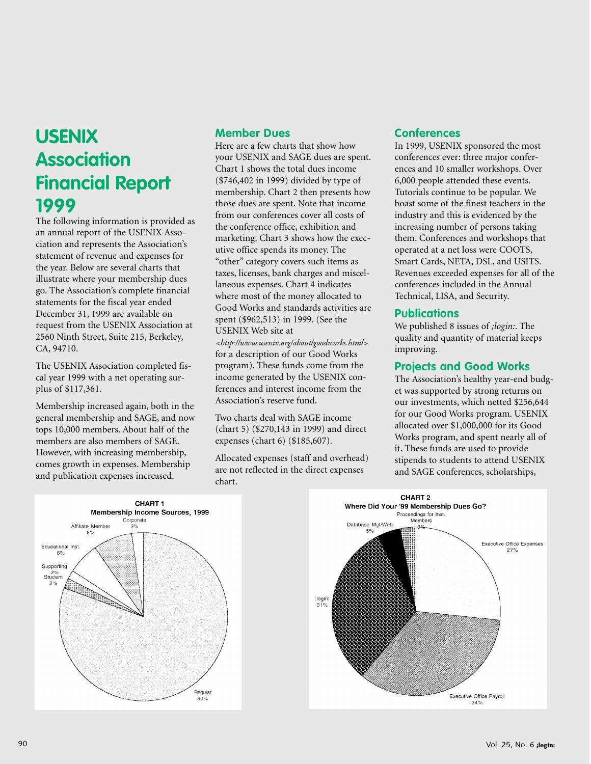# **USENIX Association Financial Report 1999**

The following information is provided as an annual report of the USENIX Association and represents the Association's statement of revenue and expenses for the year. Below are several charts that illustrate where your membership dues go. The Association's complete financial statements for the fiscal year ended December 31, 1999 are available on request from the USENIX Association at 2560 Ninth Street, Suite 215, Berkeley, CA, 94710.

The USENIX Association completed fiscal year 1999 with a net operating surplus of \$117,361.

Membership increased again, both in the general membership and SAGE, and now tops 10,000 members. About half of the members are also members of SAGE. However, with increasing membership, comes growth in expenses. Membership and publication expenses increased.

# **Member Dues**

Here are a few charts that show how your USENIX and SAGE dues are spent. Chart 1 shows the total dues income (\$746,402 in 1999) divided by type of membership. Chart 2 then presents how those dues are spent. Note that income from our conferences cover all costs of the conference office, exhibition and marketing. Chart 3 shows how the executive office spends its money. The "other" category covers such items as taxes, licenses, bank charges and miscellaneous expenses. Chart 4 indicates where most of the money allocated to Good Works and standards activities are spent (\$962,513) in 1999. (See the USENIX Web site at

*[<http://www.usenix.org/about/goodworks.html>](http://www.usenix.org/about/goodworks.html)* for a description of our Good Works program). These funds come from the income generated by the USENIX conferences and interest income from the Association's reserve fund.

Two charts deal with SAGE income (chart 5) (\$270,143 in 1999) and direct expenses (chart 6) (\$185,607).

Allocated expenses (staff and overhead) are not reflected in the direct expenses chart.

# **Conferences**

In 1999, USENIX sponsored the most conferences ever: three major conferences and 10 smaller workshops. Over 6,000 people attended these events. Tutorials continue to be popular. We boast some of the finest teachers in the industry and this is evidenced by the increasing number of persons taking them. Conferences and workshops that operated at a net loss were COOTS, Smart Cards, NETA, DSL, and USITS. Revenues exceeded expenses for all of the conferences included in the Annual Technical, LISA, and Security.

# **Publications**

We published 8 issues of *;login:*. The quality and quantity of material keeps improving.

# **Projects and Good Works**

The Association's healthy year-end budget was supported by strong returns on our investments, which netted \$256,644 for our Good Works program. USENIX allocated over \$1,000,000 for its Good Works program, and spent nearly all of it. These funds are used to provide stipends to students to attend USENIX and SAGE conferences, scholarships,



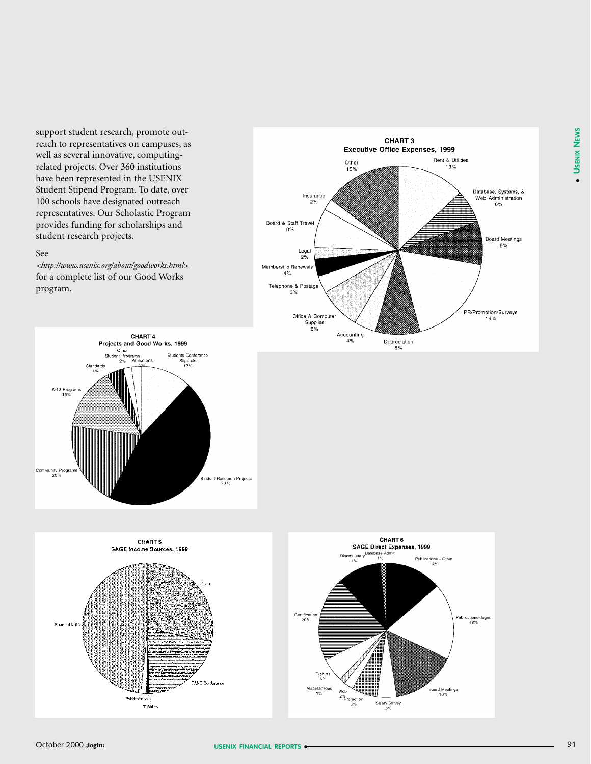support student research, promote outreach to representatives on campuses, as well as several innovative, computingrelated projects. Over 360 institutions have been represented in the USENIX Student Stipend Program. To date, over 100 schools have designated outreach representatives. Our Scholastic Program provides funding for scholarships and student research projects.

### See

*[<http://www.usenix.org/about/goodworks.html>](http://www.usenix.org/about/goodworks.html)* for a complete list of our Good Works program.









●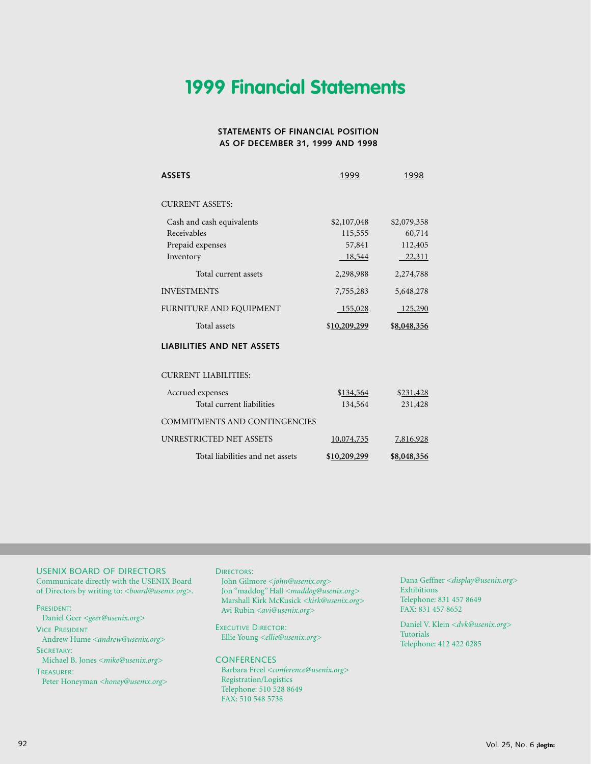# **1999 Financial Statements**

### **STATEMENTS OF FINANCIAL POSITION AS OF DECEMBER 31, 1999 AND 1998**

| <b>ASSETS</b>                        | 1999         | 1998        |
|--------------------------------------|--------------|-------------|
| <b>CURRENT ASSETS:</b>               |              |             |
| Cash and cash equivalents            | \$2,107,048  | \$2,079,358 |
| Receivables                          | 115,555      | 60,714      |
| Prepaid expenses                     | 57,841       | 112,405     |
| Inventory                            | 18,544       | 22,311      |
| Total current assets                 | 2,298,988    | 2,274,788   |
| <b>INVESTMENTS</b>                   | 7,755,283    | 5,648,278   |
| FURNITURE AND EQUIPMENT              | 155,028      | $-125,290$  |
| Total assets                         | \$10,209,299 | \$8,048,356 |
| <b>LIABILITIES AND NET ASSETS</b>    |              |             |
| <b>CURRENT LIABILITIES:</b>          |              |             |
| Accrued expenses                     | \$134,564    | \$231,428   |
| Total current liabilities            | 134,564      | 231,428     |
| <b>COMMITMENTS AND CONTINGENCIES</b> |              |             |
| <b>UNRESTRICTED NET ASSETS</b>       | 10,074,735   | 7,816,928   |
| Total liabilities and net assets     | \$10,209,299 | \$8,048,356 |

#### USENIX BOARD OF DIRECTORS

Communicate directly with the USENIX Board of Directors by writing to: *<board@usenix.org>*.

PRESIDENT:

Daniel Geer *<geer@usenix.org>*

VICE PRESIDENT Andrew Hume *<andrew@usenix.org>*

SECRETARY:

Michael B. Jones *<mike@usenix.org>* TREASURER:

Peter Honeyman *<honey@usenix.org>*

#### DIRECTORS:

John Gilmore *<john@usenix.org>* Jon "maddog" Hall *<maddog@usenix.org>* Marshall Kirk McKusick *<kirk@usenix.org>* Avi Rubin *<avi@usenix.org>*

EXECUTIVE DIRECTOR: Ellie Young *<ellie@usenix.org>*

#### **CONFERENCES**

Barbara Freel *<conference@usenix.org>* Registration/Logistics Telephone: 510 528 8649 FAX: 510 548 5738

Dana Geffner *<display@usenix.org>* Exhibitions Telephone: 831 457 8649 FAX: 831 457 8652

Daniel V. Klein *<dvk@usenix.org>* Tutorials Telephone: 412 422 0285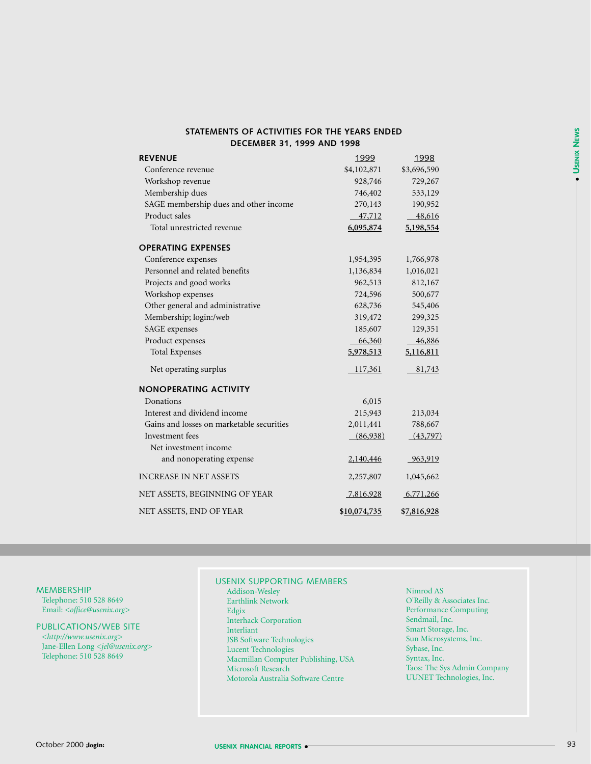| STATEMENTS OF ACTIVITIES FOR THE YEARS ENDED. |  |
|-----------------------------------------------|--|
| <b>DECEMBER 31, 1999 AND 1998</b>             |  |

| <b>REVENUE</b>                            | 1999         | 1998        |
|-------------------------------------------|--------------|-------------|
| Conference revenue                        | \$4,102,871  | \$3,696,590 |
| Workshop revenue                          | 928,746      | 729,267     |
| Membership dues                           | 746,402      | 533,129     |
| SAGE membership dues and other income     | 270,143      | 190,952     |
| Product sales                             | 47,712       | 48,616      |
| Total unrestricted revenue                | 6,095,874    | 5,198,554   |
| <b>OPERATING EXPENSES</b>                 |              |             |
| Conference expenses                       | 1,954,395    | 1,766,978   |
| Personnel and related benefits            | 1,136,834    | 1,016,021   |
| Projects and good works                   | 962,513      | 812,167     |
| Workshop expenses                         | 724,596      | 500,677     |
| Other general and administrative          | 628,736      | 545,406     |
| Membership; login:/web                    | 319,472      | 299,325     |
| SAGE expenses                             | 185,607      | 129,351     |
| Product expenses                          | 66,360       | 46,886      |
| <b>Total Expenses</b>                     | 5,978,513    | 5,116,811   |
| Net operating surplus                     | 117,361      | 81,743      |
| <b>NONOPERATING ACTIVITY</b>              |              |             |
| Donations                                 | 6,015        |             |
| Interest and dividend income              | 215,943      | 213,034     |
| Gains and losses on marketable securities | 2,011,441    | 788,667     |
| Investment fees                           | (86,938)     | (43,797)    |
| Net investment income                     |              |             |
| and nonoperating expense                  | 2,140,446    | 963,919     |
| <b>INCREASE IN NET ASSETS</b>             | 2,257,807    | 1,045,662   |
| NET ASSETS, BEGINNING OF YEAR             | 7,816,928    | 6,771,266   |
| NET ASSETS, END OF YEAR                   | \$10,074,735 | \$7,816,928 |

MEMBERSHIP

Telephone: 510 528 8649 Email: *<office@usenix.org>*

#### PUBLICATIONS/WEB SITE

*[<http://www.usenix.org>](http://www.usenix.org)*  Jane-Ellen Long *<jel@usenix.org>* Telephone: 510 528 8649

# USENIX SUPPORTING MEMBERS

- Addison-Wesley Earthlink Network Edgix Interhack Corporation Interliant JSB Software Technologies Lucent Technologies Macmillan Computer Publishing, USA Microsoft Research Motorola Australia Software Centre
- Nimrod AS O'Reilly & Associates Inc. Performance Computing Sendmail, Inc. Smart Storage, Inc. Sun Microsystems, Inc. Sybase, Inc. Syntax, Inc. Taos: The Sys Admin Company UUNET Technologies, Inc.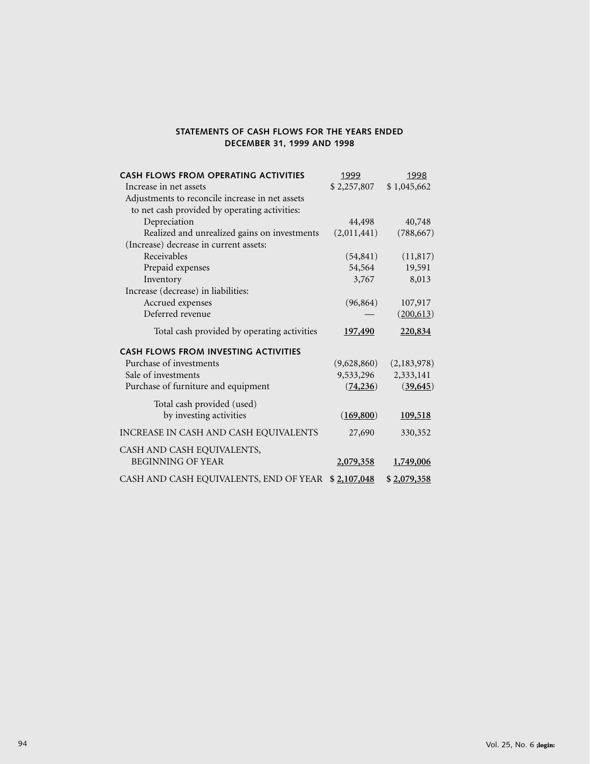# **STATEMENTS OF CASH FLOWS FOR THE YEARS ENDED DECEMBER 31, 1999 AND 1998**

| <b>CASH FLOWS FROM OPERATING ACTIVITIES</b>     | 1999        | 1998        |
|-------------------------------------------------|-------------|-------------|
| Increase in net assets                          | \$2,257,807 | \$1,045,662 |
| Adjustments to reconcile increase in net assets |             |             |
| to net cash provided by operating activities:   |             |             |
| Depreciation                                    | 44,498      | 40,748      |
| Realized and unrealized gains on investments    | (2,011,441) | (788, 667)  |
| (Increase) decrease in current assets:          |             |             |
| Receivables                                     | (54, 841)   | (11, 817)   |
| Prepaid expenses                                | 54,564      | 19,591      |
| Inventory                                       | 3,767       | 8,013       |
| Increase (decrease) in liabilities:             |             |             |
| Accrued expenses                                | (96, 864)   | 107,917     |
| Deferred revenue                                |             | (200,613)   |
| Total cash provided by operating activities     | 197,490     | 220,834     |
| <b>CASH FLOWS FROM INVESTING ACTIVITIES</b>     |             |             |
| Purchase of investments                         | (9,628,860) | (2,183,978) |
| Sale of investments                             | 9,533,296   | 2,333,141   |
| Purchase of furniture and equipment             | (74, 236)   | (39, 645)   |
| Total cash provided (used)                      |             |             |
| by investing activities                         | (169,800)   | 109,518     |
| INCREASE IN CASH AND CASH EQUIVALENTS           | 27,690      | 330,352     |
| CASH AND CASH EQUIVALENTS,                      |             |             |
| <b>BEGINNING OF YEAR</b>                        | 2,079,358   | 1,749,006   |
| CASH AND CASH EQUIVALENTS, END OF YEAR          | \$2,107,048 | \$2,079,358 |